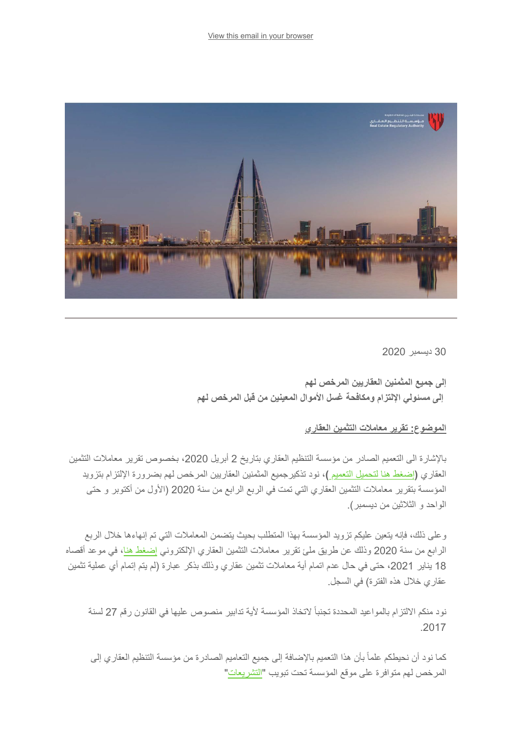[View this email in your browser](file:///C:/Users/rithinvr/Desktop/*%7CARCHIVE%7C*)



30 دیسمبر 2020

**إلى جمیع المثمنین العقاریین المرخص لھم إلى مسئولي الإلتزام ومكافحة غسل الأموال المعینین من قبل المرخص لھم**

**الموضوع: تقریر معاملات التثمین العقاري**

بالإشارة الى التعمیم الصادر من مؤسسة التنظیم العقاري بتاریخ 2 أبریل 2020، بخصوص تقریر معاملات التثمین العقاري **(**[إضغط ھنا لتحمیل التعمیم](https://rera.us18.list-manage.com/track/click?u=19ee4dd5d83746dcf3a98ff0f&id=67ac14cf9d&e=c6015ca42d) **)،** نود تذكیرجمیع المثمنین العقاریین المرخص لھم بضرورة الإلتزام بتزوید المؤسسة بتقریر معاملات التثمین العقاري التي تمت في الربع الرابع من سنة 2020 (الأول من أكتوبر و حتى الواحد و الثلاثین من دیسمبر).

وعلى ذلك، فإنھ یتعین علیكم تزوید المؤسسة بھذا المتطلب بحیث یتضمن المعاملات التي تم إنھاءھا خلال الربع الرابع من سنة 2020 وذلك عن طریق ملئ تقریر معاملات التثمین العقاري الإلكتروني [إضغط ھنا،](https://rera.us18.list-manage.com/track/click?u=19ee4dd5d83746dcf3a98ff0f&id=5a6669b7da&e=c6015ca42d) في موعد أقصاه 18 يناير 2021، حتى في حال عدم اتمام أية معاملات تثمين عقاري وذلك بذكر عبارة (لم يتم إتمام أي عملية تثمين عقاري خلال ھذه الفترة) في السجل.

نود منكم الالتزام بالمواعید المحددة تجنباً لاتخاذ المؤسسة لأیة تدابیر منصوص علیھا في القانون رقم 27 لسنة .2017

كما نود أن نحیطكم علماً بأن ھذا التعمیم بالإضافة إلى جمیع التعامیم الصادرة من مؤسسة التنظیم العقاري إلى المرخص لهم متوافرة على موقع المؤسسة تحت تبويب "<mark>التشريعات"</mark>